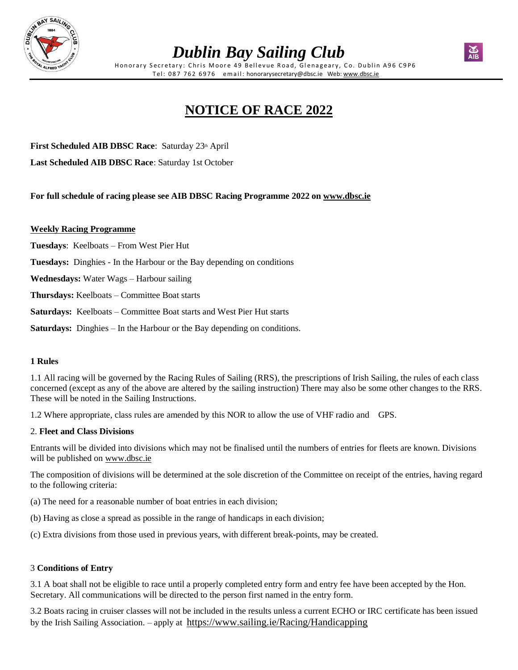

# *Dublin Bay Sailing Club*

Honorary Secretary: Chris Moore 49 Bellevue Road, Glenageary, Co. Dublin A96 C9P6 Tel: 087 762 6976 email: honorarysecretary@dbsc.ie Web: [www.dbsc.ie](https://www.dbsc.ie/)

# **NOTICE OF RACE 2022**

**First Scheduled AIB DBSC Race:** Saturday 23th April

**Last Scheduled AIB DBSC Race**: Saturday 1st October

**For full schedule of racing please see AIB DBSC Racing Programme 2022 on [www.dbsc.ie](http://www.dbsc.ie/)**

#### **Weekly Racing Programme**

**Tuesdays**: Keelboats – From West Pier Hut

**Tuesdays:** Dinghies - In the Harbour or the Bay depending on conditions

**Wednesdays:** Water Wags – Harbour sailing

**Thursdays:** Keelboats – Committee Boat starts

**Saturdays:** Keelboats – Committee Boat starts and West Pier Hut starts

**Saturdays:** Dinghies – In the Harbour or the Bay depending on conditions.

#### **1 Rules**

1.1 All racing will be governed by the Racing Rules of Sailing (RRS), the prescriptions of Irish Sailing, the rules of each class concerned (except as any of the above are altered by the sailing instruction) There may also be some other changes to the RRS. These will be noted in the Sailing Instructions.

1.2 Where appropriate, class rules are amended by this NOR to allow the use of VHF radio and GPS.

#### 2. **Fleet and Class Divisions**

Entrants will be divided into divisions which may not be finalised until the numbers of entries for fleets are known. Divisions will be published on [www.dbsc.ie](https://www.dbsc.ie/)

The composition of divisions will be determined at the sole discretion of the Committee on receipt of the entries, having regard to the following criteria:

(a) The need for a reasonable number of boat entries in each division;

- (b) Having as close a spread as possible in the range of handicaps in each division;
- (c) Extra divisions from those used in previous years, with different break-points, may be created.

### 3 **Conditions of Entry**

3.1 A boat shall not be eligible to race until a properly completed entry form and entry fee have been accepted by the Hon. Secretary. All communications will be directed to the person first named in the entry form.

3.2 Boats racing in cruiser classes will not be included in the results unless a current ECHO or IRC certificate has been issued by the Irish Sailing Association. – apply at <https://www.sailing.ie/Racing/Handicapping>